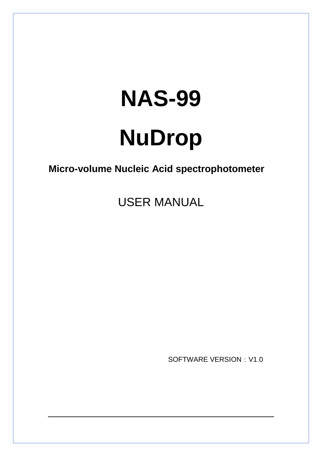# **NAS-99 NuDrop**

**Micro-volume Nucleic Acid spectrophotometer**

USER MANUAL

SOFTWARE VERSION: V1.0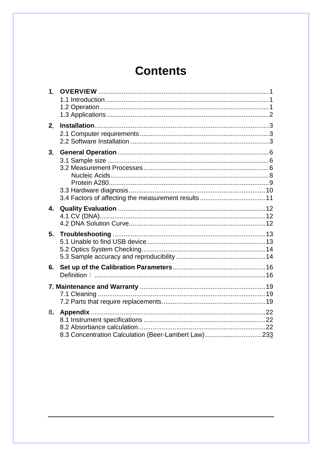# **Contents**

| 1 <sub>1</sub>            |                                                     |  |
|---------------------------|-----------------------------------------------------|--|
| 2.                        |                                                     |  |
| 3 <sub>1</sub>            |                                                     |  |
| $\overline{\mathbf{4}}$ . |                                                     |  |
| 5.                        |                                                     |  |
| 6.                        |                                                     |  |
|                           |                                                     |  |
| 8.                        | 8.3 Concentration Calculation (Beer-Lambert Law)233 |  |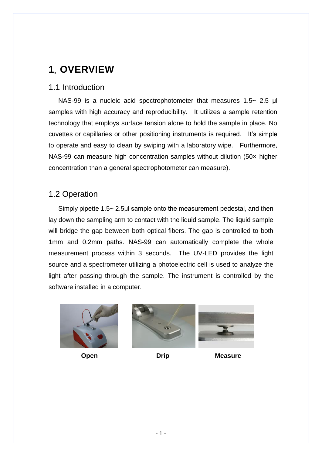# <span id="page-2-0"></span>**1**. **OVERVIEW**

### <span id="page-2-1"></span>1.1 Introduction

NAS-99 is a nucleic acid spectrophotometer that measures 1.5~ 2.5 μl samples with high accuracy and reproducibility. It utilizes a sample retention technology that employs surface tension alone to hold the sample in place. No cuvettes or capillaries or other positioning instruments is required. It's simple to operate and easy to clean by swiping with a laboratory wipe. Furthermore, NAS-99 can measure high concentration samples without dilution (50× higher concentration than a general spectrophotometer can measure).

### <span id="page-2-2"></span>1.2 Operation

Simply pipette 1.5~ 2.5μl sample onto the measurement pedestal, and then lay down the sampling arm to contact with the liquid sample. The liquid sample will bridge the gap between both optical fibers. The gap is controlled to both 1mm and 0.2mm paths. NAS-99 can automatically complete the whole measurement process within 3 seconds. The UV-LED provides the light source and a spectrometer utilizing a photoelectric cell is used to analyze the light after passing through the sample. The instrument is controlled by the software installed in a computer.







**Open Drip Drip Measure**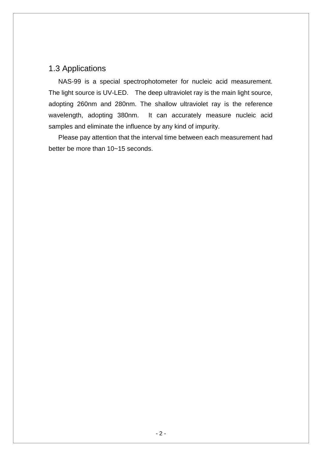### <span id="page-3-0"></span>1.3 Applications

 NAS-99 is a special spectrophotometer for nucleic acid measurement. The light source is UV-LED. The deep ultraviolet ray is the main light source, adopting 260nm and 280nm. The shallow ultraviolet ray is the reference wavelength, adopting 380nm. It can accurately measure nucleic acid samples and eliminate the influence by any kind of impurity.

 Please pay attention that the interval time between each measurement had better be more than 10~15 seconds.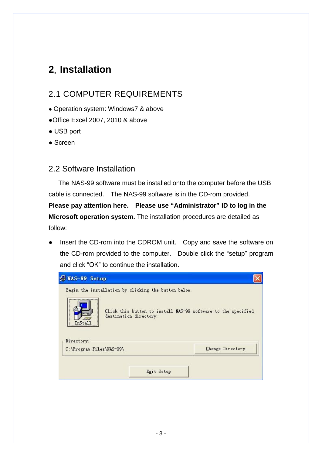# <span id="page-4-0"></span>**2**. **Installation**

### <span id="page-4-1"></span>2.1 COMPUTER REQUIREMENTS

- Operation system: Windows7 & above
- ●Office Excel 2007, 2010 & above
- USB port
- Screen

### <span id="page-4-2"></span>2.2 Software Installation

The NAS-99 software must be installed onto the computer before the USB cable is connected. The NAS-99 software is in the CD-rom provided.

**Please pay attention here. Please use "Administrator" ID to log in the Microsoft operation system.** The installation procedures are detailed as follow:

Insert the CD-rom into the CDROM unit. Copy and save the software on the CD-rom provided to the computer. Double click the "setup" program and click "OK" to continue the installation.

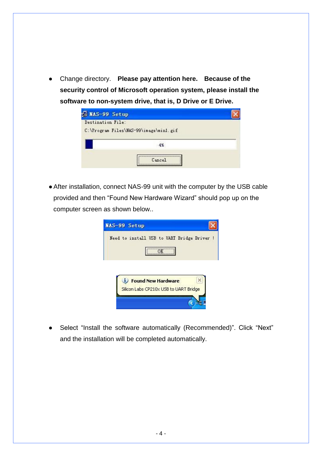● Change directory. **Please pay attention here. Because of the security control of Microsoft operation system, please install the software to non-system drive, that is, D Drive or E Drive.** 

| <b>E NAS-99 Setup</b><br>Destination File: |  |
|--------------------------------------------|--|
| C:\Program Files\NAS-99\image\min1.gif     |  |
|                                            |  |
| Cancel                                     |  |

●After installation, connect NAS-99 unit with the computer by the USB cable provided and then "Found New Hardware Wizard" should pop up on the computer screen as shown below..

| MAS-99 Setup                                |
|---------------------------------------------|
| Need to install USB to UART Bridge Driver ! |
| OK                                          |
|                                             |
|                                             |
|                                             |
|                                             |
| <i>U</i> Found New Hardware                 |
| Silicon Labs CP210x USB to UART Bridge      |
|                                             |

● Select "Install the software automatically (Recommended)". Click "Next" and the installation will be completed automatically.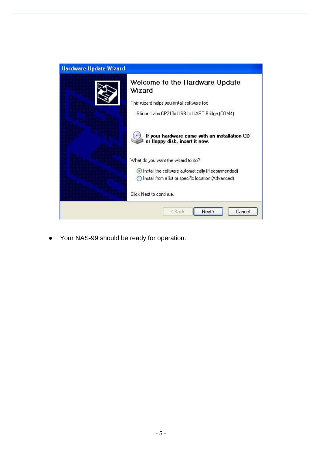| Hardware Update Wizard |                                                                                 |  |
|------------------------|---------------------------------------------------------------------------------|--|
|                        | Welcome to the Hardware Update<br>Wizard                                        |  |
|                        | This wizard helps you install software for:                                     |  |
|                        | Silicon Labs CP210x USB to UART Bridge (COM4)                                   |  |
|                        | If your hardware came with an installation CD<br>or floppy disk, insert it now. |  |
|                        | What do you want the wizard to do?                                              |  |
|                        | Install the software automatically (Recommended)                                |  |
|                        | ◯ Install from a list or specific location (Advanced)                           |  |
|                        | Click Next to continue.                                                         |  |
|                        | Next ><br>Cancel<br>< Back                                                      |  |

● Your NAS-99 should be ready for operation.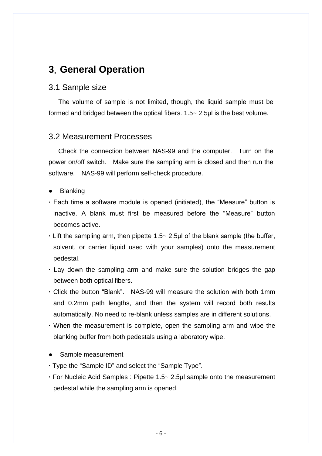### <span id="page-7-0"></span>**3**. **General Operation**

#### <span id="page-7-1"></span>3.1 Sample size

The volume of sample is not limited, though, the liquid sample must be formed and bridged between the optical fibers. 1.5~ 2.5μl is the best volume.

### <span id="page-7-2"></span>3.2 Measurement Processes

Check the connection between NAS-99 and the computer. Turn on the power on/off switch. Make sure the sampling arm is closed and then run the software. NAS-99 will perform self-check procedure.

- **Blanking**
- **·** Each time a software module is opened (initiated), the "Measure" button is inactive. A blank must first be measured before the "Measure" button becomes active.
- **·** Lift the sampling arm, then pipette 1.5~ 2.5μl of the blank sample (the buffer, solvent, or carrier liquid used with your samples) onto the measurement pedestal.
- **·** Lay down the sampling arm and make sure the solution bridges the gap between both optical fibers.
- **·** Click the button "Blank". NAS-99 will measure the solution with both 1mm and 0.2mm path lengths, and then the system will record both results automatically. No need to re-blank unless samples are in different solutions.
- **·** When the measurement is complete, open the sampling arm and wipe the blanking buffer from both pedestals using a laboratory wipe.
- Sample measurement
- **·**Type the "Sample ID" and select the "Sample Type".
- **·**For Nucleic Acid Samples : Pipette 1.5~ 2.5μl sample onto the measurement pedestal while the sampling arm is opened.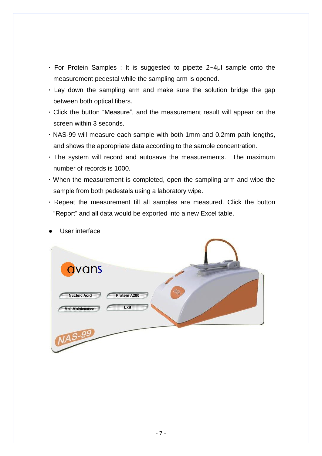- **·** For Protein Samples : It is suggested to pipette 2~4μl sample onto the measurement pedestal while the sampling arm is opened.
- **·** Lay down the sampling arm and make sure the solution bridge the gap between both optical fibers.
- **·** Click the button "Measure", and the measurement result will appear on the screen within 3 seconds.
- **·** NAS-99 will measure each sample with both 1mm and 0.2mm path lengths, and shows the appropriate data according to the sample concentration.
- **·** The system will record and autosave the measurements. The maximum number of records is 1000.
- **·** When the measurement is completed, open the sampling arm and wipe the sample from both pedestals using a laboratory wipe.
- **·** Repeat the measurement till all samples are measured. Click the button "Report" and all data would be exported into a new Excel table.



User interface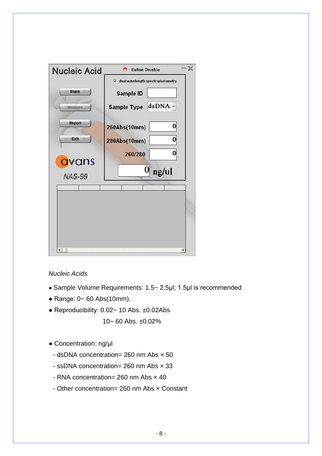| <b>Nucleic Acid</b>    | $\mathbb{X}$<br><b>Button Disable</b>      |
|------------------------|--------------------------------------------|
|                        | $\nabla$ dual wavelength spectrophotometry |
| <b>Blank</b>           | Sample ID                                  |
| Measure                | dsDNA -<br><b>Sample Type</b>              |
| <b>Report</b>          | 0<br>260Abs(10mm)                          |
| Exit                   | 0<br>280Abs(10mm)                          |
|                        | 0<br>260/280                               |
| avans<br><b>NAS-99</b> | 0 <br>ng/ul                                |
|                        |                                            |
|                        |                                            |
|                        |                                            |
|                        |                                            |
|                        |                                            |

### <span id="page-9-0"></span>*Nucleic Acids*

- Sample Volume Requirements: 1.5~ 2.5μl; 1.5μl is recommended
- Range: 0~ 60 Abs(10mm).
- Reproducibility: 0.02~ 10 Abs. ±0.02Abs

10~ 60 Abs. ±0.02%

- Concentration: ng/μl
	- dsDNA concentration= 260 nm Abs × 50
	- ssDNA concentration= 260 nm Abs × 33
	- RNA concentration= 260 nm Abs × 40
	- Other concentration= 260 nm Abs × Constant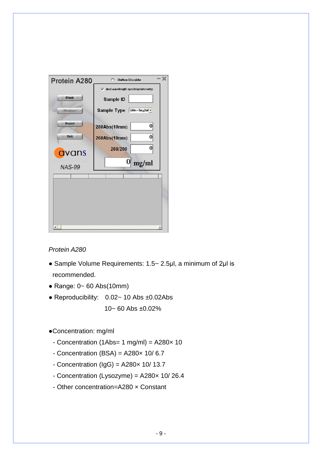

### <span id="page-10-0"></span>*Protein A280*

- Sample Volume Requirements: 1.5~ 2.5μl, a minimum of 2μl is recommended.
- $\bullet$  Range: 0~60 Abs(10mm)
- Reproducibility: 0.02~ 10 Abs ±0.02Abs  $10 - 60$  Abs  $\pm 0.02\%$
- ●Concentration: mg/ml
	- Concentration (1Abs= 1 mg/ml) = A280× 10
	- $-$  Concentration (BSA) = A280 $\times$  10/6.7
	- Concentration ( $\text{lgG}$ ) = A280 $\times$  10/ 13.7
	- Concentration (Lysozyme) = A280× 10/ 26.4
	- Other concentration=A280 × Constant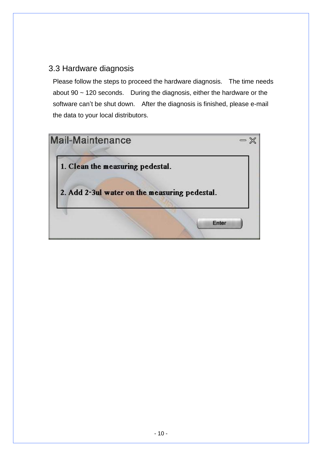### <span id="page-11-0"></span>3.3 Hardware diagnosis

Please follow the steps to proceed the hardware diagnosis. The time needs about 90 ~ 120 seconds. During the diagnosis, either the hardware or the software can't be shut down. After the diagnosis is finished, please e-mail the data to your local distributors.

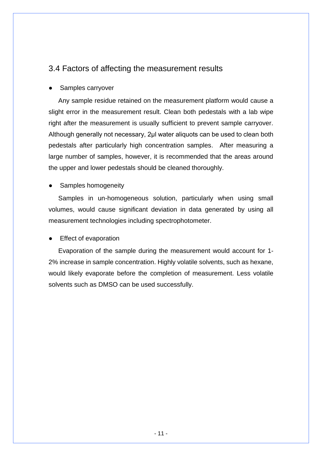### <span id="page-12-0"></span>3.4 Factors of affecting the measurement results

### Samples carryover

Any sample residue retained on the measurement platform would cause a slight error in the measurement result. Clean both pedestals with a lab wipe right after the measurement is usually sufficient to prevent sample carryover. Although generally not necessary, 2μl water aliquots can be used to clean both pedestals after particularly high concentration samples. After measuring a large number of samples, however, it is recommended that the areas around the upper and lower pedestals should be cleaned thoroughly.

### Samples homogeneity

Samples in un-homogeneous solution, particularly when using small volumes, would cause significant deviation in data generated by using all measurement technologies including spectrophotometer.

### **Effect of evaporation**

Evaporation of the sample during the measurement would account for 1- 2% increase in sample concentration. Highly volatile solvents, such as hexane, would likely evaporate before the completion of measurement. Less volatile solvents such as DMSO can be used successfully.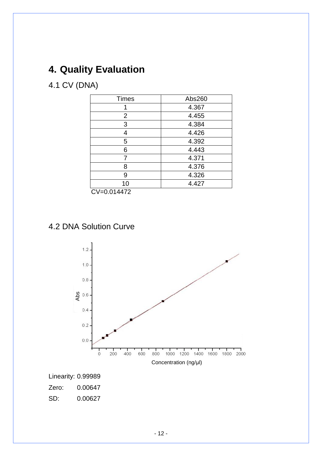# <span id="page-13-0"></span>**4. Quality Evaluation**

# <span id="page-13-1"></span>4.1 CV (DNA)

| <b>Times</b>                                                | Abs260 |  |
|-------------------------------------------------------------|--------|--|
|                                                             | 4.367  |  |
| 2                                                           | 4.455  |  |
| 3                                                           | 4.384  |  |
| 4                                                           | 4.426  |  |
| 5                                                           | 4.392  |  |
| 6                                                           | 4.443  |  |
|                                                             | 4.371  |  |
| 8                                                           | 4.376  |  |
| 9                                                           | 4.326  |  |
| 10                                                          | 4.427  |  |
| $\bigcap_{i=1}^{n}$ $\bigcap_{i=1}^{n}$ $\bigcap_{i=1}^{n}$ |        |  |

CV=0.014472

### <span id="page-13-2"></span>4.2 DNA Solution Curve



SD: 0.00627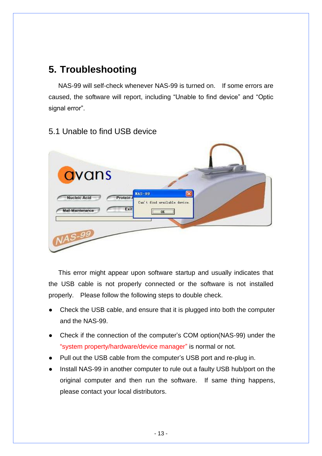# <span id="page-14-0"></span>**5. Troubleshooting**

NAS-99 will self-check whenever NAS-99 is turned on. If some errors are caused, the software will report, including "Unable to find device" and "Optic signal error".

### <span id="page-14-1"></span>5.1 Unable to find USB device



This error might appear upon software startup and usually indicates that the USB cable is not properly connected or the software is not installed properly. Please follow the following steps to double check.

- Check the USB cable, and ensure that it is plugged into both the computer and the NAS-99.
- Check if the connection of the computer's COM option(NAS-99) under the "system property/hardware/device manager" is normal or not.
- Pull out the USB cable from the computer's USB port and re-plug in.
- Install NAS-99 in another computer to rule out a faulty USB hub/port on the original computer and then run the software. If same thing happens, please contact your local distributors.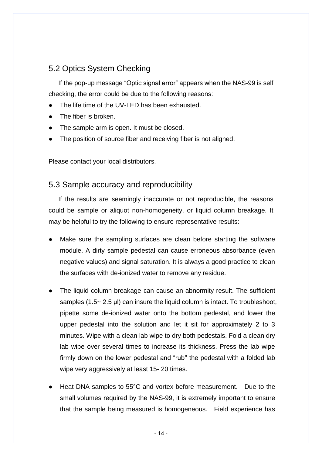### <span id="page-15-0"></span>5.2 Optics System Checking

If the pop-up message "Optic signal error" appears when the NAS-99 is self checking, the error could be due to the following reasons:

- The life time of the UV-LED has been exhausted.
- The fiber is broken.
- The sample arm is open. It must be closed.
- The position of source fiber and receiving fiber is not aligned.

Please contact your local distributors.

### <span id="page-15-1"></span>5.3 Sample accuracy and reproducibility

If the results are seemingly inaccurate or not reproducible, the reasons could be sample or aliquot non-homogeneity, or liquid column breakage. It may be helpful to try the following to ensure representative results:

- Make sure the sampling surfaces are clean before starting the software module. A dirty sample pedestal can cause erroneous absorbance (even negative values) and signal saturation. It is always a good practice to clean the surfaces with de-ionized water to remove any residue.
- The liquid column breakage can cause an abnormity result. The sufficient samples (1.5~ 2.5 μl) can insure the liquid column is intact. To troubleshoot, pipette some de-ionized water onto the bottom pedestal, and lower the upper pedestal into the solution and let it sit for approximately 2 to 3 minutes. Wipe with a clean lab wipe to dry both pedestals. Fold a clean dry lab wipe over several times to increase its thickness. Press the lab wipe firmly down on the lower pedestal and "rub" the pedestal with a folded lab wipe very aggressively at least 15- 20 times.
- Heat DNA samples to 55°C and vortex before measurement. Due to the small volumes required by the NAS-99, it is extremely important to ensure that the sample being measured is homogeneous. Field experience has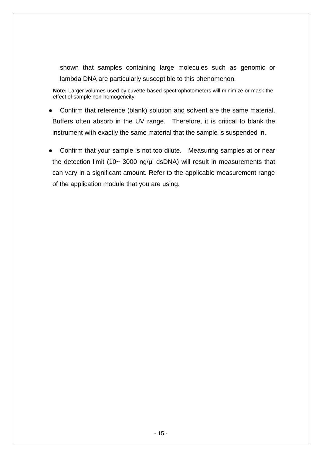shown that samples containing large molecules such as genomic or lambda DNA are particularly susceptible to this phenomenon.

**Note:** Larger volumes used by cuvette-based spectrophotometers will minimize or mask the effect of sample non-homogeneity.

- Confirm that reference (blank) solution and solvent are the same material. Buffers often absorb in the UV range. Therefore, it is critical to blank the instrument with exactly the same material that the sample is suspended in.
- Confirm that your sample is not too dilute. Measuring samples at or near the detection limit (10~ 3000 ng/μl dsDNA) will result in measurements that can vary in a significant amount. Refer to the applicable measurement range of the application module that you are using.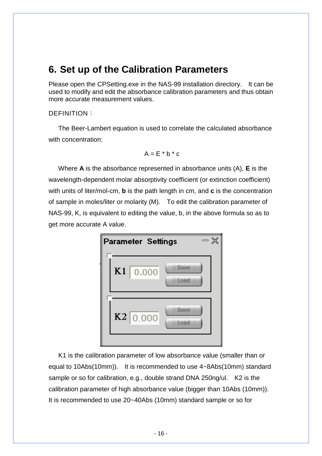# <span id="page-17-0"></span>**6. Set up of the Calibration Parameters**

Please open the CPSetting.exe in the NAS-99 installation directory. It can be used to modify and edit the absorbance calibration parameters and thus obtain more accurate measurement values.

#### <span id="page-17-1"></span>DEFINITION:

The Beer-Lambert equation is used to correlate the calculated absorbance with concentration:

$$
A = E * b * c
$$

Where **A** is the absorbance represented in absorbance units (A), **E** is the wavelength-dependent molar absorptivity coefficient (or extinction coefficient) with units of liter/mol-cm, **b** is the path length in cm, and **c** is the concentration of sample in moles/liter or molarity (M). To edit the calibration parameter of NAS-99, K, is equivalent to editing the value, b, in the above formula so as to get more accurate A value.



K1 is the calibration parameter of low absorbance value (smaller than or equal to 10Abs(10mm)). It is recommended to use 4~8Abs(10mm) standard sample or so for calibration, e.g., double strand DNA 250ng/ul. K2 is the calibration parameter of high absorbance value (bigger than 10Abs (10mm)). It is recommended to use 20~40Abs (10mm) standard sample or so for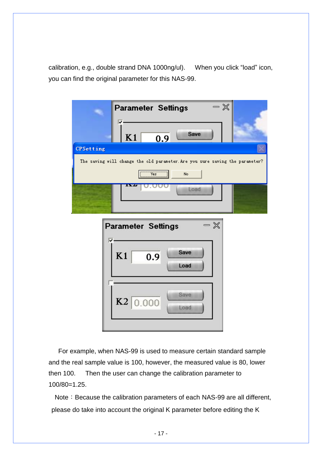calibration, e.g., double strand DNA 1000ng/ul). When you click "load" icon, you can find the original parameter for this NAS-99.



For example, when NAS-99 is used to measure certain standard sample and the real sample value is 100, however, the measured value is 80, lower then 100. Then the user can change the calibration parameter to 100/80=1.25.

Note: Because the calibration parameters of each NAS-99 are all different, please do take into account the original K parameter before editing the K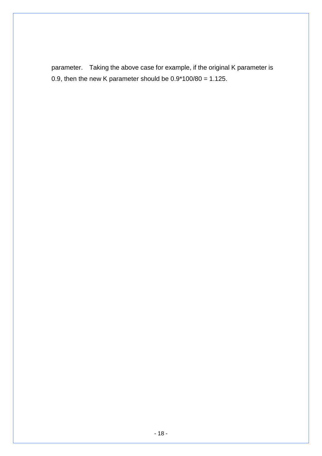parameter. Taking the above case for example, if the original K parameter is 0.9, then the new K parameter should be  $0.9*100/80 = 1.125$ .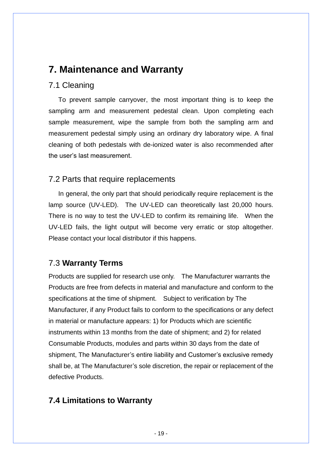## <span id="page-20-0"></span>**7. Maintenance and Warranty**

### <span id="page-20-1"></span>7.1 Cleaning

To prevent sample carryover, the most important thing is to keep the sampling arm and measurement pedestal clean. Upon completing each sample measurement, wipe the sample from both the sampling arm and measurement pedestal simply using an ordinary dry laboratory wipe. A final cleaning of both pedestals with de-ionized water is also recommended after the user's last measurement.

### <span id="page-20-2"></span>7.2 Parts that require replacements

In general, the only part that should periodically require replacement is the lamp source (UV-LED). The UV-LED can theoretically last 20,000 hours. There is no way to test the UV-LED to confirm its remaining life. When the UV-LED fails, the light output will become very erratic or stop altogether. Please contact your local distributor if this happens.

### 7.3 **Warranty Terms**

Products are supplied for research use only. The Manufacturer warrants the Products are free from defects in material and manufacture and conform to the specifications at the time of shipment. Subject to verification by The Manufacturer, if any Product fails to conform to the specifications or any defect in material or manufacture appears: 1) for Products which are scientific instruments within 13 months from the date of shipment; and 2) for related Consumable Products, modules and parts within 30 days from the date of shipment, The Manufacturer's entire liability and Customer's exclusive remedy shall be, at The Manufacturer's sole discretion, the repair or replacement of the defective Products.

### **7.4 Limitations to Warranty**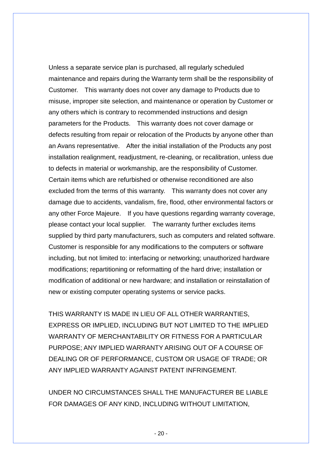Unless a separate service plan is purchased, all regularly scheduled maintenance and repairs during the Warranty term shall be the responsibility of Customer. This warranty does not cover any damage to Products due to misuse, improper site selection, and maintenance or operation by Customer or any others which is contrary to recommended instructions and design parameters for the Products. This warranty does not cover damage or defects resulting from repair or relocation of the Products by anyone other than an Avans representative. After the initial installation of the Products any post installation realignment, readjustment, re-cleaning, or recalibration, unless due to defects in material or workmanship, are the responsibility of Customer. Certain items which are refurbished or otherwise reconditioned are also excluded from the terms of this warranty. This warranty does not cover any damage due to accidents, vandalism, fire, flood, other environmental factors or any other Force Majeure. If you have questions regarding warranty coverage, please contact your local supplier. The warranty further excludes items supplied by third party manufacturers, such as computers and related software. Customer is responsible for any modifications to the computers or software including, but not limited to: interfacing or networking; unauthorized hardware modifications; repartitioning or reformatting of the hard drive; installation or modification of additional or new hardware; and installation or reinstallation of new or existing computer operating systems or service packs.

THIS WARRANTY IS MADE IN LIEU OF ALL OTHER WARRANTIES, EXPRESS OR IMPLIED, INCLUDING BUT NOT LIMITED TO THE IMPLIED WARRANTY OF MERCHANTABILITY OR FITNESS FOR A PARTICULAR PURPOSE; ANY IMPLIED WARRANTY ARISING OUT OF A COURSE OF DEALING OR OF PERFORMANCE, CUSTOM OR USAGE OF TRADE; OR ANY IMPLIED WARRANTY AGAINST PATENT INFRINGEMENT.

UNDER NO CIRCUMSTANCES SHALL THE MANUFACTURER BE LIABLE FOR DAMAGES OF ANY KIND, INCLUDING WITHOUT LIMITATION,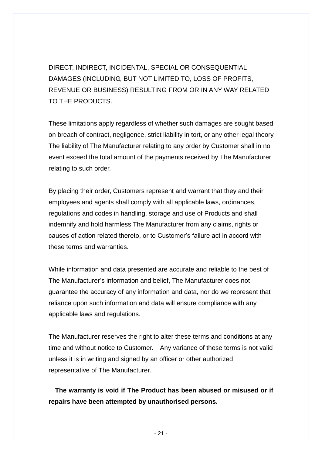DIRECT, INDIRECT, INCIDENTAL, SPECIAL OR CONSEQUENTIAL DAMAGES (INCLUDING, BUT NOT LIMITED TO, LOSS OF PROFITS, REVENUE OR BUSINESS) RESULTING FROM OR IN ANY WAY RELATED TO THE PRODUCTS.

These limitations apply regardless of whether such damages are sought based on breach of contract, negligence, strict liability in tort, or any other legal theory. The liability of The Manufacturer relating to any order by Customer shall in no event exceed the total amount of the payments received by The Manufacturer relating to such order.

By placing their order, Customers represent and warrant that they and their employees and agents shall comply with all applicable laws, ordinances, regulations and codes in handling, storage and use of Products and shall indemnify and hold harmless The Manufacturer from any claims, rights or causes of action related thereto, or to Customer's failure act in accord with these terms and warranties.

While information and data presented are accurate and reliable to the best of The Manufacturer's information and belief, The Manufacturer does not guarantee the accuracy of any information and data, nor do we represent that reliance upon such information and data will ensure compliance with any applicable laws and regulations.

The Manufacturer reserves the right to alter these terms and conditions at any time and without notice to Customer. Any variance of these terms is not valid unless it is in writing and signed by an officer or other authorized representative of The Manufacturer.

**The warranty is void if The Product has been abused or misused or if repairs have been attempted by unauthorised persons.**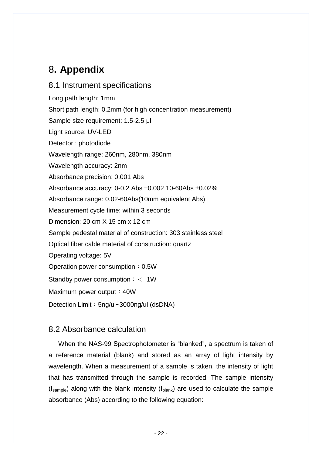# <span id="page-23-0"></span>8**. Appendix**

<span id="page-23-1"></span>8.1 Instrument specifications Long path length: 1mm Short path length: 0.2mm (for high concentration measurement) Sample size requirement: 1.5-2.5 μl Light source: UV-LED Detector : photodiode Wavelength range: 260nm, 280nm, 380nm Wavelength accuracy: 2nm Absorbance precision: 0.001 Abs Absorbance accuracy: 0-0.2 Abs ±0.002 10-60Abs ±0.02% Absorbance range: 0.02-60Abs(10mm equivalent Abs) Measurement cycle time: within 3 seconds Dimension: 20 cm X 15 cm x 12 cm Sample pedestal material of construction: 303 stainless steel Optical fiber cable material of construction: quartz Operating voltage: 5V Operation power consumption: 0.5W Standby power consumption:< 1W Maximum power output: 40W Detection Limit: 5ng/ul~3000ng/ul (dsDNA)

### <span id="page-23-2"></span>8.2 Absorbance calculation

When the NAS-99 Spectrophotometer is "blanked", a spectrum is taken of a reference material (blank) and stored as an array of light intensity by wavelength. When a measurement of a sample is taken, the intensity of light that has transmitted through the sample is recorded. The sample intensity  $(I_{\text{sample}})$  along with the blank intensity  $(I_{\text{blank}})$  are used to calculate the sample absorbance (Abs) according to the following equation: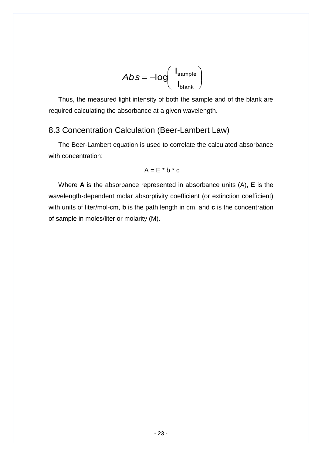$$
Abs = -log\left(\frac{I_{\text{sample}}}{I_{\text{blank}}}\right)
$$

Thus, the measured light intensity of both the sample and of the blank are required calculating the absorbance at a given wavelength.

### <span id="page-24-0"></span>8.3 Concentration Calculation (Beer-Lambert Law)

The Beer-Lambert equation is used to correlate the calculated absorbance with concentration:

$$
A = E * b * c
$$

Where **A** is the absorbance represented in absorbance units (A), **E** is the wavelength-dependent molar absorptivity coefficient (or extinction coefficient) with units of liter/mol-cm, **b** is the path length in cm, and **c** is the concentration of sample in moles/liter or molarity (M).